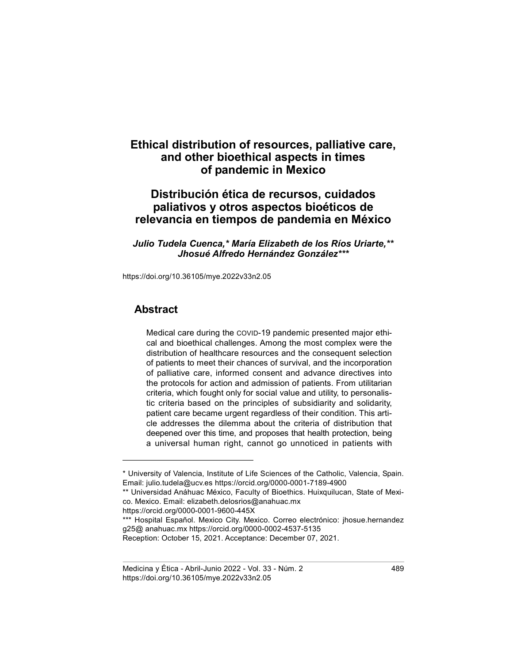# Ethical distribution of resources, palliative care, and other bioethical aspects in times of pandemic in Mexico

## Distribución ética de recursos, cuidados paliativos y otros aspectos bioéticos de relevancia en tiempos de pandemia en México

Julio Tudela Cuenca,\* María Elizabeth de los Ríos Uriarte,\*\* Jhosué Alfredo Hernández González\*\*\*

https://doi.org/10.36105/mye.2022v33n2.05

#### Abstract

Medical care during the COVID-19 pandemic presented major ethical and bioethical challenges. Among the most complex were the distribution of healthcare resources and the consequent selection of patients to meet their chances of survival, and the incorporation of palliative care, informed consent and advance directives into the protocols for action and admission of patients. From utilitarian criteria, which fought only for social value and utility, to personalistic criteria based on the principles of subsidiarity and solidarity, patient care became urgent regardless of their condition. This article addresses the dilemma about the criteria of distribution that deepened over this time, and proposes that health protection, being a universal human right, cannot go unnoticed in patients with

https://orcid.org/0000-0001-9600-445X

\*\*\* Hospital Español. Mexico City. Mexico. Correo electrónico: jhosue.hernandez g25@ anahuac.mx https://orcid.org/0000-0002-4537-5135

Reception: October 15, 2021. Acceptance: December 07, 2021.

<sup>\*</sup> University of Valencia, Institute of Life Sciences of the Catholic, Valencia, Spain. Email: julio.tudela@ucv.es https://orcid.org/0000-0001-7189-4900

<sup>\*\*</sup> Universidad Anáhuac México, Faculty of Bioethics. Huixquilucan, State of Mexico. Mexico. Email: elizabeth.delosrios@anahuac.mx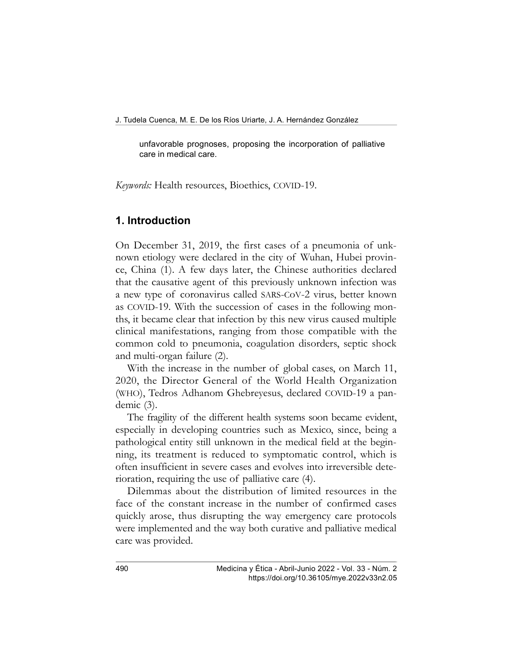unfavorable prognoses, proposing the incorporation of palliative care in medical care.

Keywords: Health resources, Bioethics, COVID-19.

## 1. Introduction

On December 31, 2019, the first cases of a pneumonia of unknown etiology were declared in the city of Wuhan, Hubei province, China (1). A few days later, the Chinese authorities declared that the causative agent of this previously unknown infection was a new type of coronavirus called SARS-CoV-2 virus, better known as COVID-19. With the succession of cases in the following months, it became clear that infection by this new virus caused multiple clinical manifestations, ranging from those compatible with the common cold to pneumonia, coagulation disorders, septic shock and multi-organ failure (2).

With the increase in the number of global cases, on March 11, 2020, the Director General of the World Health Organization (WHO), Tedros Adhanom Ghebreyesus, declared COVID-19 a pandemic (3).

The fragility of the different health systems soon became evident, especially in developing countries such as Mexico, since, being a pathological entity still unknown in the medical field at the beginning, its treatment is reduced to symptomatic control, which is often insufficient in severe cases and evolves into irreversible deterioration, requiring the use of palliative care (4).

Dilemmas about the distribution of limited resources in the face of the constant increase in the number of confirmed cases quickly arose, thus disrupting the way emergency care protocols were implemented and the way both curative and palliative medical care was provided.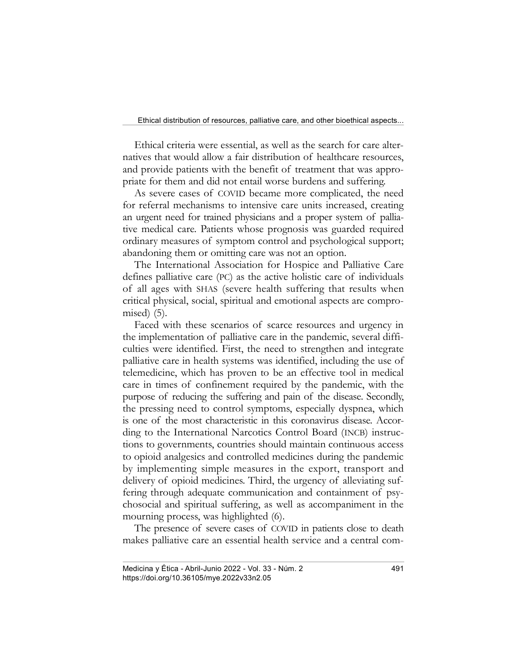Ethical criteria were essential, as well as the search for care alternatives that would allow a fair distribution of healthcare resources, and provide patients with the benefit of treatment that was appropriate for them and did not entail worse burdens and suffering.

As severe cases of COVID became more complicated, the need for referral mechanisms to intensive care units increased, creating an urgent need for trained physicians and a proper system of palliative medical care. Patients whose prognosis was guarded required ordinary measures of symptom control and psychological support; abandoning them or omitting care was not an option.

The International Association for Hospice and Palliative Care defines palliative care (PC) as the active holistic care of individuals of all ages with SHAS (severe health suffering that results when critical physical, social, spiritual and emotional aspects are compromised) (5).

Faced with these scenarios of scarce resources and urgency in the implementation of palliative care in the pandemic, several difficulties were identified. First, the need to strengthen and integrate palliative care in health systems was identified, including the use of telemedicine, which has proven to be an effective tool in medical care in times of confinement required by the pandemic, with the purpose of reducing the suffering and pain of the disease. Secondly, the pressing need to control symptoms, especially dyspnea, which is one of the most characteristic in this coronavirus disease. According to the International Narcotics Control Board (INCB) instructions to governments, countries should maintain continuous access to opioid analgesics and controlled medicines during the pandemic by implementing simple measures in the export, transport and delivery of opioid medicines. Third, the urgency of alleviating suffering through adequate communication and containment of psychosocial and spiritual suffering, as well as accompaniment in the mourning process, was highlighted (6).

The presence of severe cases of COVID in patients close to death makes palliative care an essential health service and a central com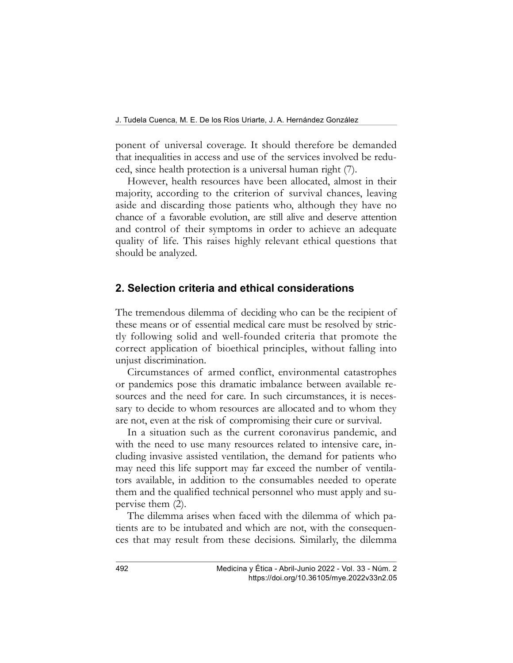ponent of universal coverage. It should therefore be demanded that inequalities in access and use of the services involved be reduced, since health protection is a universal human right (7).

However, health resources have been allocated, almost in their majority, according to the criterion of survival chances, leaving aside and discarding those patients who, although they have no chance of a favorable evolution, are still alive and deserve attention and control of their symptoms in order to achieve an adequate quality of life. This raises highly relevant ethical questions that should be analyzed.

#### 2. Selection criteria and ethical considerations

The tremendous dilemma of deciding who can be the recipient of these means or of essential medical care must be resolved by strictly following solid and well-founded criteria that promote the correct application of bioethical principles, without falling into unjust discrimination.

Circumstances of armed conflict, environmental catastrophes or pandemics pose this dramatic imbalance between available resources and the need for care. In such circumstances, it is necessary to decide to whom resources are allocated and to whom they are not, even at the risk of compromising their cure or survival.

In a situation such as the current coronavirus pandemic, and with the need to use many resources related to intensive care, including invasive assisted ventilation, the demand for patients who may need this life support may far exceed the number of ventilators available, in addition to the consumables needed to operate them and the qualified technical personnel who must apply and supervise them (2).

The dilemma arises when faced with the dilemma of which patients are to be intubated and which are not, with the consequences that may result from these decisions. Similarly, the dilemma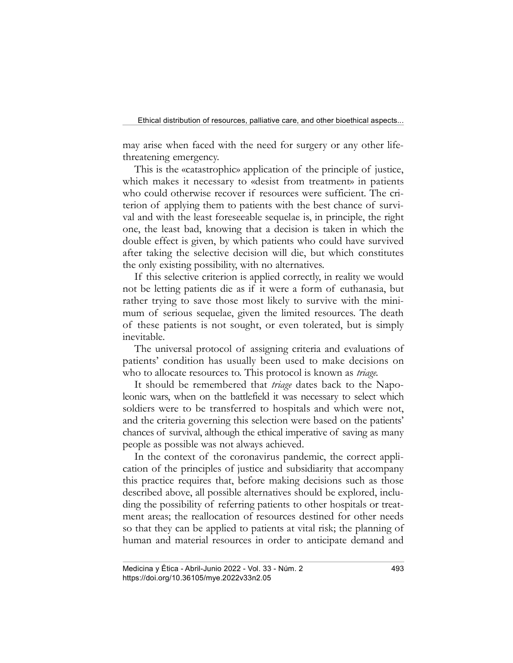may arise when faced with the need for surgery or any other lifethreatening emergency.

This is the «catastrophic» application of the principle of justice, which makes it necessary to «desist from treatment» in patients who could otherwise recover if resources were sufficient. The criterion of applying them to patients with the best chance of survival and with the least foreseeable sequelae is, in principle, the right one, the least bad, knowing that a decision is taken in which the double effect is given, by which patients who could have survived after taking the selective decision will die, but which constitutes the only existing possibility, with no alternatives.

If this selective criterion is applied correctly, in reality we would not be letting patients die as if it were a form of euthanasia, but rather trying to save those most likely to survive with the minimum of serious sequelae, given the limited resources. The death of these patients is not sought, or even tolerated, but is simply inevitable.

The universal protocol of assigning criteria and evaluations of patients' condition has usually been used to make decisions on who to allocate resources to. This protocol is known as *triage*.

It should be remembered that *triage* dates back to the Napoleonic wars, when on the battlefield it was necessary to select which soldiers were to be transferred to hospitals and which were not, and the criteria governing this selection were based on the patients' chances of survival, although the ethical imperative of saving as many people as possible was not always achieved.

In the context of the coronavirus pandemic, the correct application of the principles of justice and subsidiarity that accompany this practice requires that, before making decisions such as those described above, all possible alternatives should be explored, including the possibility of referring patients to other hospitals or treatment areas; the reallocation of resources destined for other needs so that they can be applied to patients at vital risk; the planning of human and material resources in order to anticipate demand and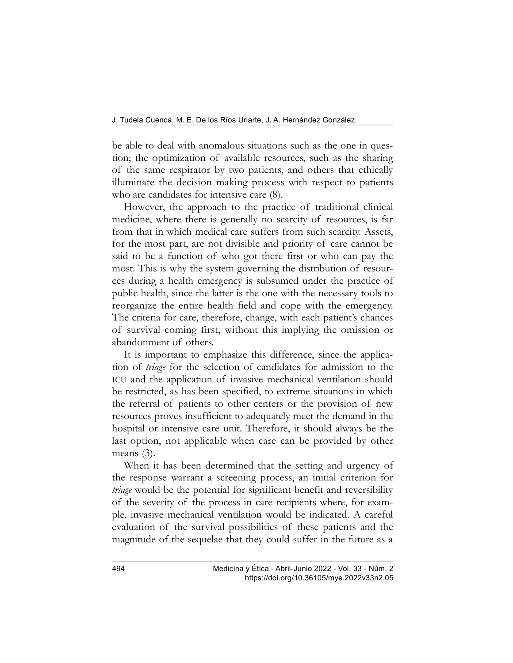be able to deal with anomalous situations such as the one in question; the optimization of available resources, such as the sharing of the same respirator by two patients, and others that ethically illuminate the decision making process with respect to patients who are candidates for intensive care (8).

However, the approach to the practice of traditional clinical medicine, where there is generally no scarcity of resources, is far from that in which medical care suffers from such scarcity. Assets, for the most part, are not divisible and priority of care cannot be said to be a function of who got there first or who can pay the most. This is why the system governing the distribution of resources during a health emergency is subsumed under the practice of public health, since the latter is the one with the necessary tools to reorganize the entire health field and cope with the emergency. The criteria for care, therefore, change, with each patient's chances of survival coming first, without this implying the omission or abandonment of others.

It is important to emphasize this difference, since the application of triage for the selection of candidates for admission to the ICU and the application of invasive mechanical ventilation should be restricted, as has been specified, to extreme situations in which the referral of patients to other centers or the provision of new resources proves insufficient to adequately meet the demand in the hospital or intensive care unit. Therefore, it should always be the last option, not applicable when care can be provided by other means (3).

When it has been determined that the setting and urgency of the response warrant a screening process, an initial criterion for triage would be the potential for significant benefit and reversibility of the severity of the process in care recipients where, for example, invasive mechanical ventilation would be indicated. A careful evaluation of the survival possibilities of these patients and the magnitude of the sequelae that they could suffer in the future as a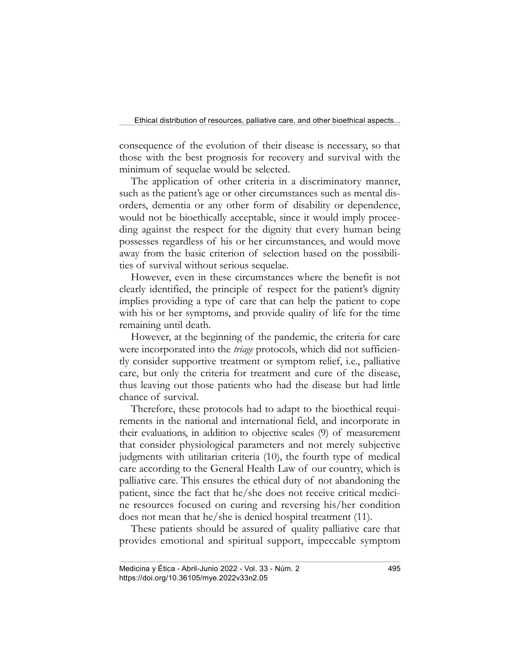consequence of the evolution of their disease is necessary, so that those with the best prognosis for recovery and survival with the minimum of sequelae would be selected.

The application of other criteria in a discriminatory manner, such as the patient's age or other circumstances such as mental disorders, dementia or any other form of disability or dependence, would not be bioethically acceptable, since it would imply proceeding against the respect for the dignity that every human being possesses regardless of his or her circumstances, and would move away from the basic criterion of selection based on the possibilities of survival without serious sequelae.

However, even in these circumstances where the benefit is not clearly identified, the principle of respect for the patient's dignity implies providing a type of care that can help the patient to cope with his or her symptoms, and provide quality of life for the time remaining until death.

However, at the beginning of the pandemic, the criteria for care were incorporated into the *triage* protocols, which did not sufficiently consider supportive treatment or symptom relief, i.e., palliative care, but only the criteria for treatment and cure of the disease, thus leaving out those patients who had the disease but had little chance of survival.

Therefore, these protocols had to adapt to the bioethical requirements in the national and international field, and incorporate in their evaluations, in addition to objective scales (9) of measurement that consider physiological parameters and not merely subjective judgments with utilitarian criteria (10), the fourth type of medical care according to the General Health Law of our country, which is palliative care. This ensures the ethical duty of not abandoning the patient, since the fact that he/she does not receive critical medicine resources focused on curing and reversing his/her condition does not mean that he/she is denied hospital treatment (11).

These patients should be assured of quality palliative care that provides emotional and spiritual support, impeccable symptom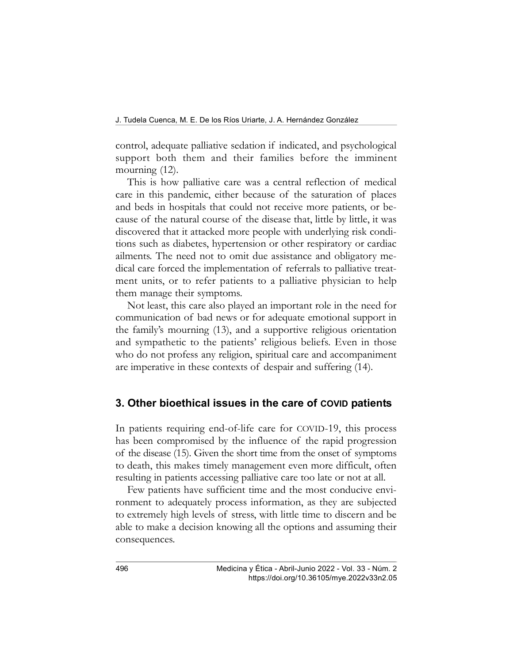control, adequate palliative sedation if indicated, and psychological support both them and their families before the imminent mourning  $(12)$ .

This is how palliative care was a central reflection of medical care in this pandemic, either because of the saturation of places and beds in hospitals that could not receive more patients, or because of the natural course of the disease that, little by little, it was discovered that it attacked more people with underlying risk conditions such as diabetes, hypertension or other respiratory or cardiac ailments. The need not to omit due assistance and obligatory medical care forced the implementation of referrals to palliative treatment units, or to refer patients to a palliative physician to help them manage their symptoms.

Not least, this care also played an important role in the need for communication of bad news or for adequate emotional support in the family's mourning (13), and a supportive religious orientation and sympathetic to the patients' religious beliefs. Even in those who do not profess any religion, spiritual care and accompaniment are imperative in these contexts of despair and suffering (14).

#### 3. Other bioethical issues in the care of COVID patients

In patients requiring end-of-life care for COVID-19, this process has been compromised by the influence of the rapid progression of the disease (15). Given the short time from the onset of symptoms to death, this makes timely management even more difficult, often resulting in patients accessing palliative care too late or not at all.

Few patients have sufficient time and the most conducive environment to adequately process information, as they are subjected to extremely high levels of stress, with little time to discern and be able to make a decision knowing all the options and assuming their consequences.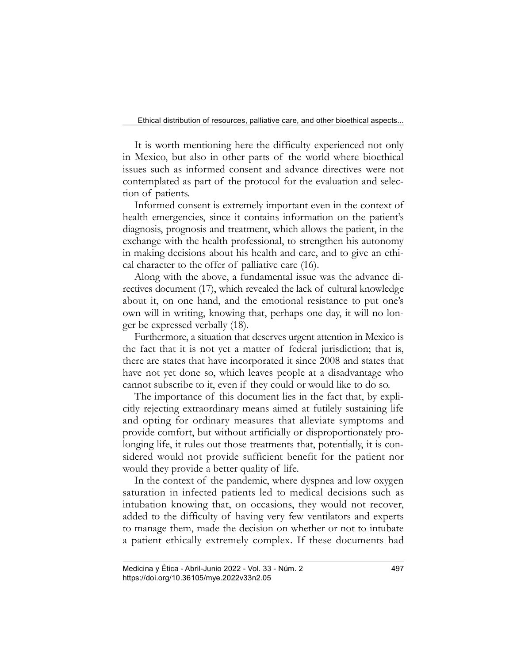It is worth mentioning here the difficulty experienced not only in Mexico, but also in other parts of the world where bioethical issues such as informed consent and advance directives were not contemplated as part of the protocol for the evaluation and selection of patients.

Informed consent is extremely important even in the context of health emergencies, since it contains information on the patient's diagnosis, prognosis and treatment, which allows the patient, in the exchange with the health professional, to strengthen his autonomy in making decisions about his health and care, and to give an ethical character to the offer of palliative care (16).

Along with the above, a fundamental issue was the advance directives document (17), which revealed the lack of cultural knowledge about it, on one hand, and the emotional resistance to put one's own will in writing, knowing that, perhaps one day, it will no longer be expressed verbally (18).

Furthermore, a situation that deserves urgent attention in Mexico is the fact that it is not yet a matter of federal jurisdiction; that is, there are states that have incorporated it since 2008 and states that have not yet done so, which leaves people at a disadvantage who cannot subscribe to it, even if they could or would like to do so.

The importance of this document lies in the fact that, by explicitly rejecting extraordinary means aimed at futilely sustaining life and opting for ordinary measures that alleviate symptoms and provide comfort, but without artificially or disproportionately prolonging life, it rules out those treatments that, potentially, it is considered would not provide sufficient benefit for the patient nor would they provide a better quality of life.

In the context of the pandemic, where dyspnea and low oxygen saturation in infected patients led to medical decisions such as intubation knowing that, on occasions, they would not recover, added to the difficulty of having very few ventilators and experts to manage them, made the decision on whether or not to intubate a patient ethically extremely complex. If these documents had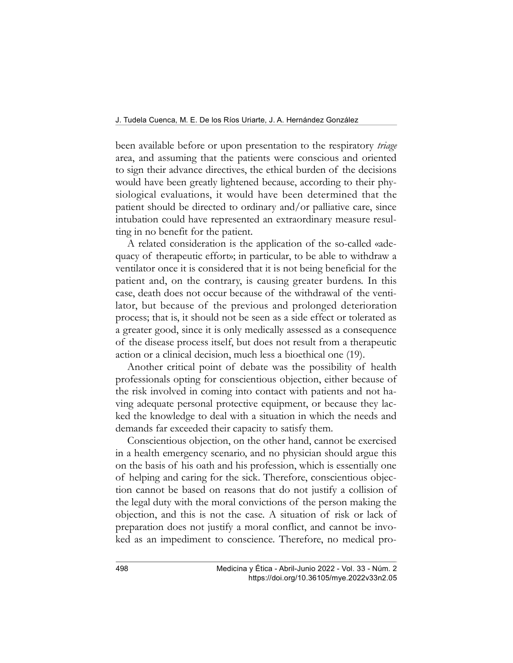been available before or upon presentation to the respiratory *triage* area, and assuming that the patients were conscious and oriented to sign their advance directives, the ethical burden of the decisions would have been greatly lightened because, according to their physiological evaluations, it would have been determined that the patient should be directed to ordinary and/or palliative care, since intubation could have represented an extraordinary measure resulting in no benefit for the patient.

A related consideration is the application of the so-called «adequacy of therapeutic effort»; in particular, to be able to withdraw a ventilator once it is considered that it is not being beneficial for the patient and, on the contrary, is causing greater burdens. In this case, death does not occur because of the withdrawal of the ventilator, but because of the previous and prolonged deterioration process; that is, it should not be seen as a side effect or tolerated as a greater good, since it is only medically assessed as a consequence of the disease process itself, but does not result from a therapeutic action or a clinical decision, much less a bioethical one (19).

Another critical point of debate was the possibility of health professionals opting for conscientious objection, either because of the risk involved in coming into contact with patients and not having adequate personal protective equipment, or because they lacked the knowledge to deal with a situation in which the needs and demands far exceeded their capacity to satisfy them.

Conscientious objection, on the other hand, cannot be exercised in a health emergency scenario, and no physician should argue this on the basis of his oath and his profession, which is essentially one of helping and caring for the sick. Therefore, conscientious objection cannot be based on reasons that do not justify a collision of the legal duty with the moral convictions of the person making the objection, and this is not the case. A situation of risk or lack of preparation does not justify a moral conflict, and cannot be invoked as an impediment to conscience. Therefore, no medical pro-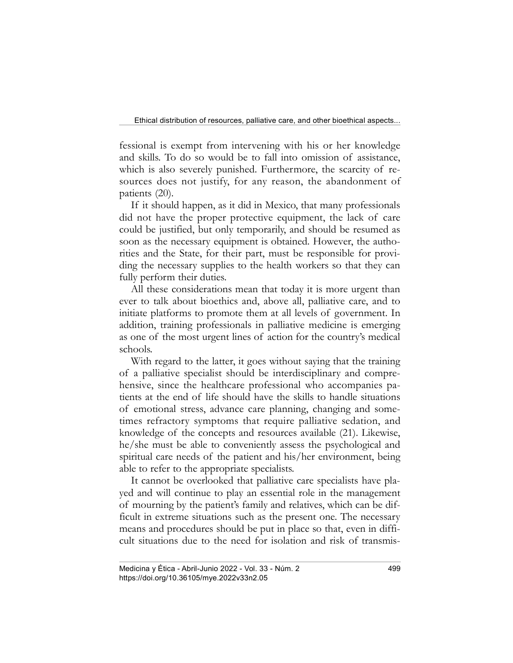fessional is exempt from intervening with his or her knowledge and skills. To do so would be to fall into omission of assistance, which is also severely punished. Furthermore, the scarcity of resources does not justify, for any reason, the abandonment of patients (20).

If it should happen, as it did in Mexico, that many professionals did not have the proper protective equipment, the lack of care could be justified, but only temporarily, and should be resumed as soon as the necessary equipment is obtained. However, the authorities and the State, for their part, must be responsible for providing the necessary supplies to the health workers so that they can fully perform their duties.

All these considerations mean that today it is more urgent than ever to talk about bioethics and, above all, palliative care, and to initiate platforms to promote them at all levels of government. In addition, training professionals in palliative medicine is emerging as one of the most urgent lines of action for the country's medical schools.

With regard to the latter, it goes without saying that the training of a palliative specialist should be interdisciplinary and comprehensive, since the healthcare professional who accompanies patients at the end of life should have the skills to handle situations of emotional stress, advance care planning, changing and sometimes refractory symptoms that require palliative sedation, and knowledge of the concepts and resources available (21). Likewise, he/she must be able to conveniently assess the psychological and spiritual care needs of the patient and his/her environment, being able to refer to the appropriate specialists.

It cannot be overlooked that palliative care specialists have played and will continue to play an essential role in the management of mourning by the patient's family and relatives, which can be difficult in extreme situations such as the present one. The necessary means and procedures should be put in place so that, even in difficult situations due to the need for isolation and risk of transmis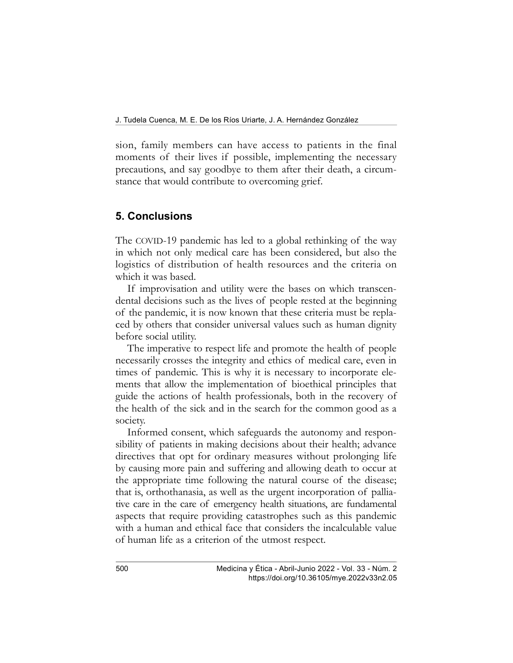sion, family members can have access to patients in the final moments of their lives if possible, implementing the necessary precautions, and say goodbye to them after their death, a circumstance that would contribute to overcoming grief.

#### 5. Conclusions

The COVID-19 pandemic has led to a global rethinking of the way in which not only medical care has been considered, but also the logistics of distribution of health resources and the criteria on which it was based.

If improvisation and utility were the bases on which transcendental decisions such as the lives of people rested at the beginning of the pandemic, it is now known that these criteria must be replaced by others that consider universal values such as human dignity before social utility.

The imperative to respect life and promote the health of people necessarily crosses the integrity and ethics of medical care, even in times of pandemic. This is why it is necessary to incorporate elements that allow the implementation of bioethical principles that guide the actions of health professionals, both in the recovery of the health of the sick and in the search for the common good as a society.

Informed consent, which safeguards the autonomy and responsibility of patients in making decisions about their health; advance directives that opt for ordinary measures without prolonging life by causing more pain and suffering and allowing death to occur at the appropriate time following the natural course of the disease; that is, orthothanasia, as well as the urgent incorporation of palliative care in the care of emergency health situations, are fundamental aspects that require providing catastrophes such as this pandemic with a human and ethical face that considers the incalculable value of human life as a criterion of the utmost respect.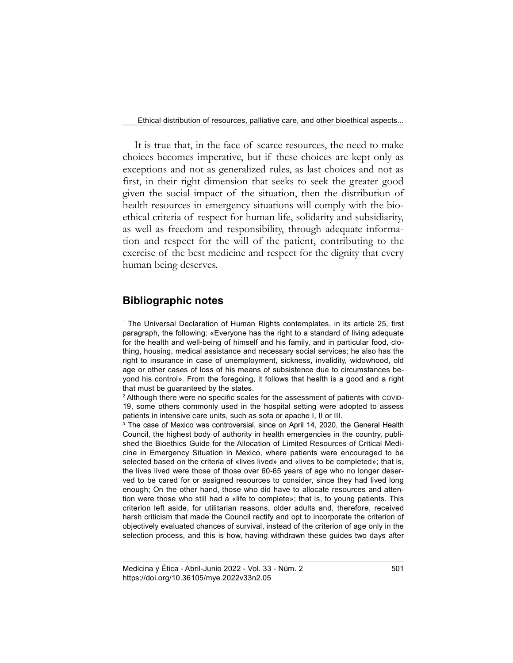It is true that, in the face of scarce resources, the need to make choices becomes imperative, but if these choices are kept only as exceptions and not as generalized rules, as last choices and not as first, in their right dimension that seeks to seek the greater good given the social impact of the situation, then the distribution of health resources in emergency situations will comply with the bioethical criteria of respect for human life, solidarity and subsidiarity, as well as freedom and responsibility, through adequate information and respect for the will of the patient, contributing to the exercise of the best medicine and respect for the dignity that every human being deserves.

## Bibliographic notes

1 The Universal Declaration of Human Rights contemplates, in its article 25, first paragraph, the following: «Everyone has the right to a standard of living adequate for the health and well-being of himself and his family, and in particular food, clothing, housing, medical assistance and necessary social services; he also has the right to insurance in case of unemployment, sickness, invalidity, widowhood, old age or other cases of loss of his means of subsistence due to circumstances beyond his control». From the foregoing, it follows that health is a good and a right that must be guaranteed by the states.

 $^{\rm 2}$  Although there were no specific scales for the assessment of patients with <code>covip-</code> 19, some others commonly used in the hospital setting were adopted to assess patients in intensive care units, such as sofa or apache I, II or III.

<sup>3</sup> The case of Mexico was controversial, since on April 14, 2020, the General Health Council, the highest body of authority in health emergencies in the country, published the Bioethics Guide for the Allocation of Limited Resources of Critical Medicine in Emergency Situation in Mexico, where patients were encouraged to be selected based on the criteria of «lives lived» and «lives to be completed»; that is, the lives lived were those of those over 60-65 years of age who no longer deserved to be cared for or assigned resources to consider, since they had lived long enough; On the other hand, those who did have to allocate resources and attention were those who still had a «life to complete»; that is, to young patients. This criterion left aside, for utilitarian reasons, older adults and, therefore, received harsh criticism that made the Council rectify and opt to incorporate the criterion of objectively evaluated chances of survival, instead of the criterion of age only in the selection process, and this is how, having withdrawn these guides two days after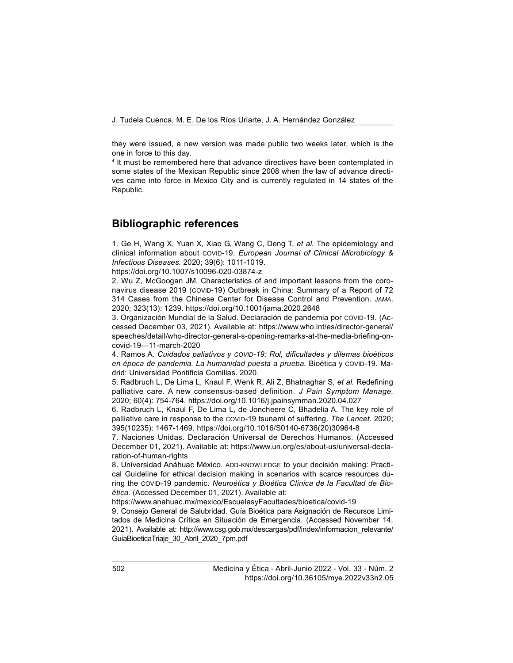they were issued, a new version was made public two weeks later, which is the one in force to this day.

4 It must be remembered here that advance directives have been contemplated in some states of the Mexican Republic since 2008 when the law of advance directives came into force in Mexico City and is currently regulated in 14 states of the Republic.

## Bibliographic references

1. Ge H, Wang X, Yuan X, Xiao G, Wang C, Deng T, et al. The epidemiology and clinical information about COVID-19. European Journal of Clinical Microbiology & Infectious Diseases. 2020; 39(6): 1011-1019.

https://doi.org/10.1007/s10096-020-03874-z

2. Wu Z, McGoogan JM. Characteristics of and important lessons from the coronavirus disease 2019 (COVID-19) Outbreak in China: Summary of a Report of 72 314 Cases from the Chinese Center for Disease Control and Prevention. JAMA. 2020; 323(13): 1239. https://doi.org/10.1001/jama.2020.2648

3. Organización Mundial de la Salud. Declaración de pandemia por COVID-19. (Accessed December 03, 2021). Available at: https://www.who.int/es/director-general/ speeches/detail/who-director-general-s-opening-remarks-at-the-media-briefing-oncovid-19—11-march-2020

4. Ramos A. Cuidados paliativos y COVID-19: Rol, dificultades y dilemas bioéticos en época de pandemia. La humanidad puesta a prueba. Bioética y COVID-19. Madrid: Universidad Pontificia Comillas. 2020.

5. Radbruch L, De Lima L, Knaul F, Wenk R, Ali Z, Bhatnaghar S, et al. Redefining palliative care. A new consensus-based definition. J Pain Symptom Manage. 2020; 60(4): 754-764. https://doi.org/10.1016/j.jpainsymman.2020.04.027

6. Radbruch L, Knaul F, De Lima L, de Joncheere C, Bhadelia A. The key role of palliative care in response to the COVID-19 tsunami of suffering. The Lancet. 2020; 395(10235): 1467-1469. https://doi.org/10.1016/S0140-6736(20)30964-8

7. Naciones Unidas. Declaración Universal de Derechos Humanos. (Accessed December 01, 2021). Available at: https://www.un.org/es/about-us/universal-declaration-of-human-rights

8. Universidad Anáhuac México. ADD-KNOWLEDGE to your decisión making: Practical Guideline for ethical decision making in scenarios with scarce resources during the COVID-19 pandemic. Neuroética y Bioética Clínica de la Facultad de Bioética. (Accessed December 01, 2021). Available at:

https://www.anahuac.mx/mexico/EscuelasyFacultades/bioetica/covid-19

9. Consejo General de Salubridad. Guía Bioética para Asignación de Recursos Limitados de Medicina Crítica en Situación de Emergencia. (Accessed November 14, 2021). Available at: http://www.csg.gob.mx/descargas/pdf/index/informacion\_relevante/ GuiaBioeticaTriaje\_30\_Abril\_2020\_7pm.pdf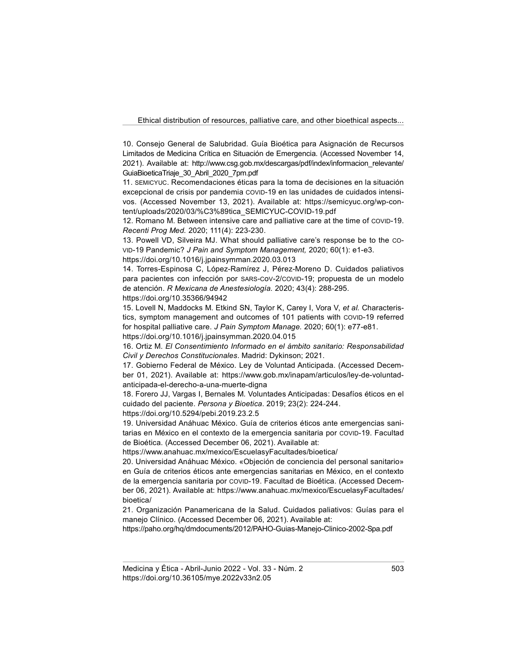10. Consejo General de Salubridad. Guía Bioética para Asignación de Recursos Limitados de Medicina Crítica en Situación de Emergencia. (Accessed November 14, 2021). Available at: http://www.csg.gob.mx/descargas/pdf/index/informacion\_relevante/ GuiaBioeticaTriaje\_30\_Abril\_2020\_7pm.pdf

11. SEMICYUC. Recomendaciones éticas para la toma de decisiones en la situación excepcional de crisis por pandemia COVID-19 en las unidades de cuidados intensivos. (Accessed November 13, 2021). Available at: https://semicyuc.org/wp-content/uploads/2020/03/%C3%89tica\_SEMICYUC-COVID-19.pdf

12. Romano M. Between intensive care and palliative care at the time of COVID-19. Recenti Prog Med. 2020; 111(4): 223-230.

13. Powell VD, Silveira MJ. What should palliative care's response be to the CO-VID-19 Pandemic? J Pain and Symptom Management, 2020; 60(1): e1-e3. https://doi.org/10.1016/j.jpainsymman.2020.03.013

14. Torres-Espinosa C, López-Ramírez J, Pérez-Moreno D. Cuidados paliativos para pacientes con infección por SARS-CoV-2/COVID-19; propuesta de un modelo de atención. R Mexicana de Anestesiología. 2020; 43(4): 288-295. https://doi.org/10.35366/94942

15. Lovell N, Maddocks M. Etkind SN, Taylor K, Carey I, Vora V, et al. Characteristics, symptom management and outcomes of 101 patients with COVID-19 referred for hospital palliative care. J Pain Symptom Manage. 2020; 60(1): e77-e81.

https://doi.org/10.1016/j.jpainsymman.2020.04.015

16. Ortiz M. El Consentimiento Informado en el ámbito sanitario: Responsabilidad Civil y Derechos Constitucionales. Madrid: Dykinson; 2021.

17. Gobierno Federal de México. Ley de Voluntad Anticipada. (Accessed December 01, 2021). Available at: https://www.gob.mx/inapam/articulos/ley-de-voluntadanticipada-el-derecho-a-una-muerte-digna

18. Forero JJ, Vargas I, Bernales M. Voluntades Anticipadas: Desafíos éticos en el cuidado del paciente. Persona y Bioetica. 2019; 23(2): 224-244.

https://doi.org/10.5294/pebi.2019.23.2.5

19. Universidad Anáhuac México. Guía de criterios éticos ante emergencias sanitarias en México en el contexto de la emergencia sanitaria por COVID-19. Facultad de Bioética. (Accessed December 06, 2021). Available at:

https://www.anahuac.mx/mexico/EscuelasyFacultades/bioetica/

20. Universidad Anáhuac México. «Objeción de conciencia del personal sanitario» en Guía de criterios éticos ante emergencias sanitarias en México, en el contexto de la emergencia sanitaria por COVID-19. Facultad de Bioética. (Accessed December 06, 2021). Available at: https://www.anahuac.mx/mexico/EscuelasyFacultades/ bioetica/

21. Organización Panamericana de la Salud. Cuidados paliativos: Guías para el manejo Clínico. (Accessed December 06, 2021). Available at:

https://paho.org/hq/dmdocuments/2012/PAHO-Guias-Manejo-Clinico-2002-Spa.pdf